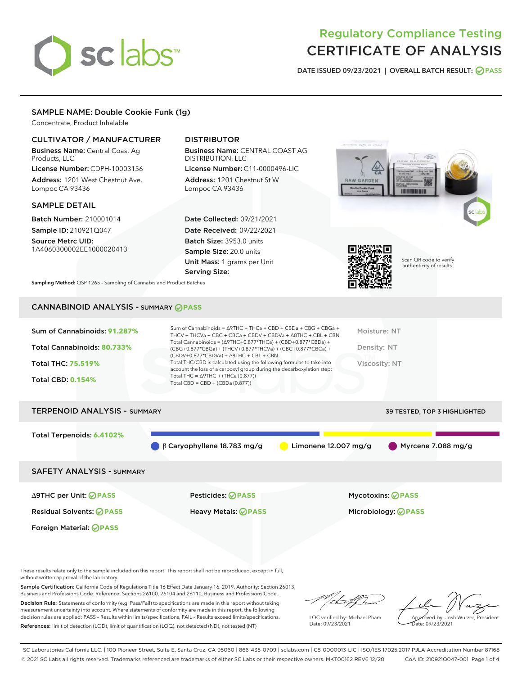# sclabs

# Regulatory Compliance Testing CERTIFICATE OF ANALYSIS

DATE ISSUED 09/23/2021 | OVERALL BATCH RESULT: @ PASS

## SAMPLE NAME: Double Cookie Funk (1g)

Concentrate, Product Inhalable

### CULTIVATOR / MANUFACTURER

Business Name: Central Coast Ag Products, LLC

License Number: CDPH-10003156 Address: 1201 West Chestnut Ave. Lompoc CA 93436

#### SAMPLE DETAIL

Batch Number: 210001014 Sample ID: 210921Q047

Source Metrc UID: 1A4060300002EE1000020413

# DISTRIBUTOR

Business Name: CENTRAL COAST AG DISTRIBUTION, LLC License Number: C11-0000496-LIC

Address: 1201 Chestnut St W Lompoc CA 93436

Date Collected: 09/21/2021 Date Received: 09/22/2021 Batch Size: 3953.0 units Sample Size: 20.0 units Unit Mass: 1 grams per Unit Serving Size:





Scan QR code to verify authenticity of results.

Sampling Method: QSP 1265 - Sampling of Cannabis and Product Batches

# CANNABINOID ANALYSIS - SUMMARY **PASS**

| Total Cannabinoids = $(\Delta$ 9THC+0.877*THCa) + (CBD+0.877*CBDa) +<br>Total Cannabinoids: 80.733%<br>Density: NT<br>(CBG+0.877*CBGa) + (THCV+0.877*THCVa) + (CBC+0.877*CBCa) +<br>$(CBDV+0.877*CBDVa) + \Delta 8THC + CBL + CBN$<br>Total THC/CBD is calculated using the following formulas to take into<br><b>Total THC: 75.519%</b><br>Viscosity: NT<br>account the loss of a carboxyl group during the decarboxylation step:<br>Total THC = $\triangle$ 9THC + (THCa (0.877))<br><b>Total CBD: 0.154%</b><br>Total CBD = $CBD + (CBDa (0.877))$ | Sum of Cannabinoids: 91.287% | Sum of Cannabinoids = ∆9THC + THCa + CBD + CBDa + CBG + CBGa +<br>THCV + THCVa + CBC + CBCa + CBDV + CBDVa + $\Delta$ 8THC + CBL + CBN | Moisture: NT |
|-------------------------------------------------------------------------------------------------------------------------------------------------------------------------------------------------------------------------------------------------------------------------------------------------------------------------------------------------------------------------------------------------------------------------------------------------------------------------------------------------------------------------------------------------------|------------------------------|----------------------------------------------------------------------------------------------------------------------------------------|--------------|
|                                                                                                                                                                                                                                                                                                                                                                                                                                                                                                                                                       |                              |                                                                                                                                        |              |
|                                                                                                                                                                                                                                                                                                                                                                                                                                                                                                                                                       |                              |                                                                                                                                        |              |
|                                                                                                                                                                                                                                                                                                                                                                                                                                                                                                                                                       |                              |                                                                                                                                        |              |

# TERPENOID ANALYSIS - SUMMARY 39 TESTED, TOP 3 HIGHLIGHTED Total Terpenoids: **6.4102%** β Caryophyllene 18.783 mg/g **C** Limonene 12.007 mg/g Myrcene 7.088 mg/g SAFETY ANALYSIS - SUMMARY ∆9THC per Unit: **PASS** Pesticides: **PASS** Mycotoxins: **PASS**

Foreign Material: **PASS**

Residual Solvents: **PASS** Heavy Metals: **PASS** Microbiology: **PASS**

These results relate only to the sample included on this report. This report shall not be reproduced, except in full, without written approval of the laboratory.

Sample Certification: California Code of Regulations Title 16 Effect Date January 16, 2019. Authority: Section 26013, Business and Professions Code. Reference: Sections 26100, 26104 and 26110, Business and Professions Code. Decision Rule: Statements of conformity (e.g. Pass/Fail) to specifications are made in this report without taking

measurement uncertainty into account. Where statements of conformity are made in this report, the following decision rules are applied: PASS – Results within limits/specifications, FAIL – Results exceed limits/specifications. References: limit of detection (LOD), limit of quantification (LOQ), not detected (ND), not tested (NT)

LQC verified by: Michael Pham Date: 09/23/2021

Approved by: Josh Wurzer, President ate: 09/23/2021

SC Laboratories California LLC. | 100 Pioneer Street, Suite E, Santa Cruz, CA 95060 | 866-435-0709 | sclabs.com | C8-0000013-LIC | ISO/IES 17025:2017 PJLA Accreditation Number 87168 © 2021 SC Labs all rights reserved. Trademarks referenced are trademarks of either SC Labs or their respective owners. MKT00162 REV6 12/20 CoA ID: 210921Q047-001 Page 1 of 4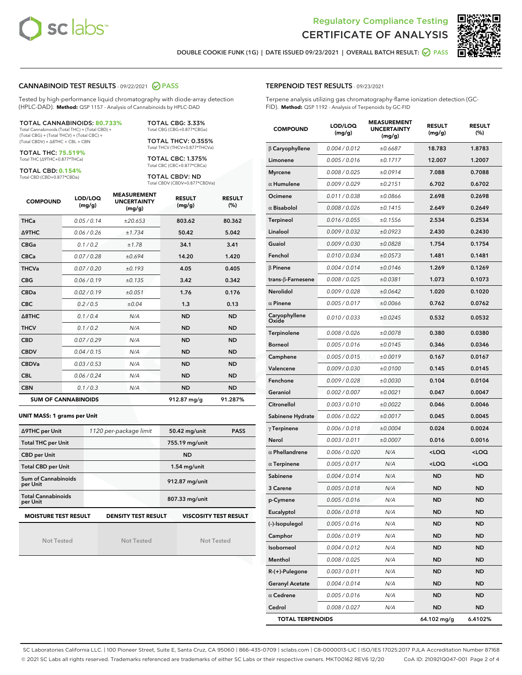



DOUBLE COOKIE FUNK (1G) | DATE ISSUED 09/23/2021 | OVERALL BATCH RESULT: ● PASS

#### CANNABINOID TEST RESULTS - 09/22/2021 2 PASS

Tested by high-performance liquid chromatography with diode-array detection (HPLC-DAD). **Method:** QSP 1157 - Analysis of Cannabinoids by HPLC-DAD

#### TOTAL CANNABINOIDS: **80.733%**

Total Cannabinoids (Total THC) + (Total CBD) + (Total CBG) + (Total THCV) + (Total CBC) + (Total CBDV) + ∆8THC + CBL + CBN

TOTAL THC: **75.519%** Total THC (∆9THC+0.877\*THCa)

TOTAL CBD: **0.154%**

Total CBD (CBD+0.877\*CBDa)

TOTAL CBG: 3.33% Total CBG (CBG+0.877\*CBGa)

TOTAL THCV: 0.355% Total THCV (THCV+0.877\*THCVa)

TOTAL CBC: 1.375% Total CBC (CBC+0.877\*CBCa)

TOTAL CBDV: ND Total CBDV (CBDV+0.877\*CBDVa)

| <b>COMPOUND</b> | LOD/LOQ<br>(mg/g)          | <b>MEASUREMENT</b><br><b>UNCERTAINTY</b><br>(mg/g) | <b>RESULT</b><br>(mg/g) | <b>RESULT</b><br>(%) |
|-----------------|----------------------------|----------------------------------------------------|-------------------------|----------------------|
| <b>THCa</b>     | 0.05/0.14                  | ±20.653                                            | 803.62                  | 80.362               |
| <b>A9THC</b>    | 0.06 / 0.26                | ±1.734                                             | 50.42                   | 5.042                |
| <b>CBGa</b>     | 0.1/0.2                    | ±1.78                                              | 34.1                    | 3.41                 |
| <b>CBCa</b>     | 0.07 / 0.28                | ±0.694                                             | 14.20                   | 1.420                |
| <b>THCVa</b>    | 0.07/0.20                  | ±0.193                                             | 4.05                    | 0.405                |
| <b>CBG</b>      | 0.06/0.19                  | ±0.135                                             | 3.42                    | 0.342                |
| <b>CBDa</b>     | 0.02/0.19                  | ±0.051                                             | 1.76                    | 0.176                |
| <b>CBC</b>      | 0.2 / 0.5                  | ±0.04                                              | 1.3                     | 0.13                 |
| A8THC           | 0.1/0.4                    | N/A                                                | <b>ND</b>               | <b>ND</b>            |
| <b>THCV</b>     | 0.1/0.2                    | N/A                                                | <b>ND</b>               | <b>ND</b>            |
| <b>CBD</b>      | 0.07/0.29                  | N/A                                                | <b>ND</b>               | <b>ND</b>            |
| <b>CBDV</b>     | 0.04 / 0.15                | N/A                                                | <b>ND</b>               | <b>ND</b>            |
| <b>CBDVa</b>    | 0.03 / 0.53                | N/A                                                | <b>ND</b>               | <b>ND</b>            |
| <b>CBL</b>      | 0.06 / 0.24                | N/A                                                | <b>ND</b>               | <b>ND</b>            |
| <b>CBN</b>      | 0.1/0.3                    | N/A                                                | <b>ND</b>               | <b>ND</b>            |
|                 | <b>SUM OF CANNABINOIDS</b> |                                                    | 912.87 mg/g             | 91.287%              |

#### **UNIT MASS: 1 grams per Unit**

| ∆9THC per Unit                        | 1120 per-package limit     | 50.42 mg/unit<br><b>PASS</b> |
|---------------------------------------|----------------------------|------------------------------|
| <b>Total THC per Unit</b>             |                            | 755.19 mg/unit               |
| <b>CBD per Unit</b>                   |                            | <b>ND</b>                    |
| <b>Total CBD per Unit</b>             |                            | $1.54$ mg/unit               |
| Sum of Cannabinoids<br>per Unit       |                            | 912.87 mg/unit               |
| <b>Total Cannabinoids</b><br>per Unit |                            | 807.33 mg/unit               |
| <b>MOISTURE TEST RESULT</b>           | <b>DENSITY TEST RESULT</b> | <b>VISCOSITY TEST RESULT</b> |

Not Tested

Not Tested

Not Tested

#### TERPENOID TEST RESULTS - 09/23/2021

Terpene analysis utilizing gas chromatography-flame ionization detection (GC-FID). **Method:** QSP 1192 - Analysis of Terpenoids by GC-FID

| <b>COMPOUND</b>         | LOD/LOQ<br>(mg/g)    | <b>MEASUREMENT</b><br><b>UNCERTAINTY</b><br>(mg/g) | <b>RESULT</b><br>(mg/g)                         | <b>RESULT</b><br>(%) |
|-------------------------|----------------------|----------------------------------------------------|-------------------------------------------------|----------------------|
| $\beta$ Caryophyllene   | 0.004 / 0.012        | ±0.6687                                            | 18.783                                          | 1.8783               |
| Limonene                | 0.005 / 0.016        | ±0.1717                                            | 12.007                                          | 1.2007               |
| <b>Myrcene</b>          | 0.008 / 0.025        | ±0.0914                                            | 7.088                                           | 0.7088               |
| $\alpha$ Humulene       | 0.009 / 0.029        | ±0.2151                                            | 6.702                                           | 0.6702               |
| Ocimene                 | 0.011/0.038          | ±0.0866                                            | 2.698                                           | 0.2698               |
| $\alpha$ Bisabolol      | 0.008 / 0.026        | ±0.1415                                            | 2.649                                           | 0.2649               |
| Terpineol               | 0.016 / 0.055        | ±0.1556                                            | 2.534                                           | 0.2534               |
| Linalool                | 0.009 / 0.032        | ±0.0923                                            | 2.430                                           | 0.2430               |
| Guaiol                  | <i>0.009 / 0.030</i> | ±0.0828                                            | 1.754                                           | 0.1754               |
| Fenchol                 | 0.010 / 0.034        | ±0.0573                                            | 1.481                                           | 0.1481               |
| $\beta$ Pinene          | 0.004 / 0.014        | ±0.0146                                            | 1.269                                           | 0.1269               |
| trans-β-Farnesene       | 0.008 / 0.025        | ±0.0381                                            | 1.073                                           | 0.1073               |
| Nerolidol               | 0.009 / 0.028        | ±0.0642                                            | 1.020                                           | 0.1020               |
| $\alpha$ Pinene         | 0.005 / 0.017        | ±0.0066                                            | 0.762                                           | 0.0762               |
| Caryophyllene<br>Oxide  | 0.010 / 0.033        | ±0.0245                                            | 0.532                                           | 0.0532               |
| Terpinolene             | 0.008 / 0.026        | ±0.0078                                            | 0.380                                           | 0.0380               |
| <b>Borneol</b>          | 0.005 / 0.016        | ±0.0145                                            | 0.346                                           | 0.0346               |
| Camphene                | 0.005 / 0.015        | ±0.0019                                            | 0.167                                           | 0.0167               |
| Valencene               | 0.009 / 0.030        | ±0.0100                                            | 0.145                                           | 0.0145               |
| Fenchone                | 0.009 / 0.028        | ±0.0030                                            | 0.104                                           | 0.0104               |
| Geraniol                | 0.002 / 0.007        | ±0.0021                                            | 0.047                                           | 0.0047               |
| Citronellol             | 0.003 / 0.010        | ±0.0022                                            | 0.046                                           | 0.0046               |
| Sabinene Hydrate        | 0.006 / 0.022        | ±0.0017                                            | 0.045                                           | 0.0045               |
| $\gamma$ Terpinene      | 0.006 / 0.018        | ±0.0004                                            | 0.024                                           | 0.0024               |
| Nerol                   | 0.003 / 0.011        | ±0.0007                                            | 0.016                                           | 0.0016               |
| $\alpha$ Phellandrene   | 0.006 / 0.020        | N/A                                                | <loq< th=""><th><loq< th=""></loq<></th></loq<> | <loq< th=""></loq<>  |
| $\alpha$ Terpinene      | 0.005 / 0.017        | N/A                                                | <loq< th=""><th><loq< th=""></loq<></th></loq<> | <loq< th=""></loq<>  |
| Sabinene                | 0.004 / 0.014        | N/A                                                | <b>ND</b>                                       | ND                   |
| 3 Carene                | 0.005 / 0.018        | N/A                                                | ND                                              | ND                   |
| p-Cymene                | 0.005 / 0.016        | N/A                                                | <b>ND</b>                                       | <b>ND</b>            |
| Eucalyptol              | 0.006 / 0.018        | N/A                                                | ND                                              | ND                   |
| (-)-Isopulegol          | 0.005 / 0.016        | N/A                                                | ND                                              | ND                   |
| Camphor                 | 0.006 / 0.019        | N/A                                                | ND                                              | ND                   |
| Isoborneol              | 0.004 / 0.012        | N/A                                                | ND                                              | ND                   |
| Menthol                 | 0.008 / 0.025        | N/A                                                | ND                                              | ND                   |
| R-(+)-Pulegone          | 0.003 / 0.011        | N/A                                                | ND                                              | ND                   |
| <b>Geranyl Acetate</b>  | 0.004 / 0.014        | N/A                                                | ND                                              | ND                   |
| $\alpha$ Cedrene        | 0.005 / 0.016        | N/A                                                | ND                                              | ND                   |
| Cedrol                  | 0.008 / 0.027        | N/A                                                | ND                                              | ND                   |
| <b>TOTAL TERPENOIDS</b> |                      |                                                    | 64.102 mg/g                                     | 6.4102%              |

SC Laboratories California LLC. | 100 Pioneer Street, Suite E, Santa Cruz, CA 95060 | 866-435-0709 | sclabs.com | C8-0000013-LIC | ISO/IES 17025:2017 PJLA Accreditation Number 87168 © 2021 SC Labs all rights reserved. Trademarks referenced are trademarks of either SC Labs or their respective owners. MKT00162 REV6 12/20 CoA ID: 210921Q047-001 Page 2 of 4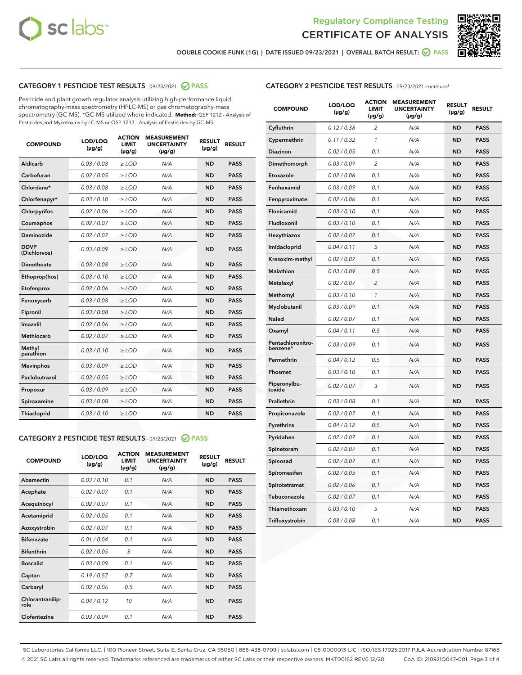



DOUBLE COOKIE FUNK (1G) | DATE ISSUED 09/23/2021 | OVERALL BATCH RESULT: ○ PASS

## CATEGORY 1 PESTICIDE TEST RESULTS - 09/23/2021 2 PASS

Pesticide and plant growth regulator analysis utilizing high-performance liquid chromatography-mass spectrometry (HPLC-MS) or gas chromatography-mass spectrometry (GC-MS). \*GC-MS utilized where indicated. **Method:** QSP 1212 - Analysis of Pesticides and Mycotoxins by LC-MS or QSP 1213 - Analysis of Pesticides by GC-MS

| <b>COMPOUND</b>             | LOD/LOQ<br>$(\mu g/g)$ | <b>ACTION</b><br>LIMIT<br>$(\mu g/g)$ | <b>MEASUREMENT</b><br><b>UNCERTAINTY</b><br>$(\mu g/g)$ | <b>RESULT</b><br>$(\mu g/g)$ | <b>RESULT</b> |
|-----------------------------|------------------------|---------------------------------------|---------------------------------------------------------|------------------------------|---------------|
| Aldicarb                    | 0.03/0.08              | $\ge$ LOD                             | N/A                                                     | <b>ND</b>                    | <b>PASS</b>   |
| Carbofuran                  | 0.02 / 0.05            | ≥ LOD                                 | N/A                                                     | <b>ND</b>                    | <b>PASS</b>   |
| Chlordane*                  | 0.03 / 0.08            | $\ge$ LOD                             | N/A                                                     | <b>ND</b>                    | <b>PASS</b>   |
| Chlorfenapyr*               | 0.03/0.10              | $\ge$ LOD                             | N/A                                                     | <b>ND</b>                    | <b>PASS</b>   |
| Chlorpyrifos                | 0.02 / 0.06            | $>$ LOD                               | N/A                                                     | <b>ND</b>                    | <b>PASS</b>   |
| Coumaphos                   | 0.02 / 0.07            | ≥ LOD                                 | N/A                                                     | <b>ND</b>                    | <b>PASS</b>   |
| Daminozide                  | 0.02 / 0.07            | $\ge$ LOD                             | N/A                                                     | <b>ND</b>                    | <b>PASS</b>   |
| <b>DDVP</b><br>(Dichlorvos) | 0.03/0.09              | $\geq$ LOD                            | N/A                                                     | <b>ND</b>                    | <b>PASS</b>   |
| Dimethoate                  | 0.03/0.08              | $>$ LOD                               | N/A                                                     | <b>ND</b>                    | <b>PASS</b>   |
| Ethoprop(hos)               | 0.03/0.10              | > LOD                                 | N/A                                                     | <b>ND</b>                    | <b>PASS</b>   |
| Etofenprox                  | 0.02 / 0.06            | $\ge$ LOD                             | N/A                                                     | <b>ND</b>                    | <b>PASS</b>   |
| Fenoxycarb                  | 0.03 / 0.08            | $\geq$ LOD                            | N/A                                                     | <b>ND</b>                    | <b>PASS</b>   |
| Fipronil                    | 0.03/0.08              | $>$ LOD                               | N/A                                                     | <b>ND</b>                    | <b>PASS</b>   |
| Imazalil                    | 0.02 / 0.06            | $>$ LOD                               | N/A                                                     | <b>ND</b>                    | <b>PASS</b>   |
| Methiocarb                  | 0.02 / 0.07            | $>$ LOD                               | N/A                                                     | <b>ND</b>                    | <b>PASS</b>   |
| Methyl<br>parathion         | 0.03/0.10              | ≥ LOD                                 | N/A                                                     | <b>ND</b>                    | <b>PASS</b>   |
| <b>Mevinphos</b>            | 0.03 / 0.09            | $>$ LOD                               | N/A                                                     | <b>ND</b>                    | <b>PASS</b>   |
| Paclobutrazol               | 0.02 / 0.05            | $\ge$ LOD                             | N/A                                                     | <b>ND</b>                    | <b>PASS</b>   |
| Propoxur                    | 0.03/0.09              | $\ge$ LOD                             | N/A                                                     | <b>ND</b>                    | <b>PASS</b>   |
| Spiroxamine                 | 0.03 / 0.08            | $\ge$ LOD                             | N/A                                                     | <b>ND</b>                    | <b>PASS</b>   |
| Thiacloprid                 | 0.03/0.10              | $\geq$ LOD                            | N/A                                                     | <b>ND</b>                    | <b>PASS</b>   |
|                             |                        |                                       |                                                         |                              |               |

#### CATEGORY 2 PESTICIDE TEST RESULTS - 09/23/2021 @ PASS

| <b>COMPOUND</b>          | LOD/LOQ<br>$(\mu g/g)$ | <b>ACTION</b><br>LIMIT<br>$(\mu g/g)$ | <b>MEASUREMENT</b><br><b>UNCERTAINTY</b><br>$(\mu g/g)$ | <b>RESULT</b><br>$(\mu g/g)$ | <b>RESULT</b> |
|--------------------------|------------------------|---------------------------------------|---------------------------------------------------------|------------------------------|---------------|
| Abamectin                | 0.03/0.10              | 0.1                                   | N/A                                                     | <b>ND</b>                    | <b>PASS</b>   |
| Acephate                 | 0.02/0.07              | 0.1                                   | N/A                                                     | <b>ND</b>                    | <b>PASS</b>   |
| Acequinocyl              | 0.02/0.07              | 0.1                                   | N/A                                                     | <b>ND</b>                    | <b>PASS</b>   |
| Acetamiprid              | 0.02/0.05              | 0.1                                   | N/A                                                     | <b>ND</b>                    | <b>PASS</b>   |
| Azoxystrobin             | 0.02/0.07              | 0.1                                   | N/A                                                     | <b>ND</b>                    | <b>PASS</b>   |
| <b>Bifenazate</b>        | 0.01 / 0.04            | 0.1                                   | N/A                                                     | <b>ND</b>                    | <b>PASS</b>   |
| <b>Bifenthrin</b>        | 0.02/0.05              | 3                                     | N/A                                                     | <b>ND</b>                    | <b>PASS</b>   |
| <b>Boscalid</b>          | 0.03/0.09              | 0.1                                   | N/A                                                     | <b>ND</b>                    | <b>PASS</b>   |
| Captan                   | 0.19/0.57              | 0.7                                   | N/A                                                     | <b>ND</b>                    | <b>PASS</b>   |
| Carbaryl                 | 0.02/0.06              | 0.5                                   | N/A                                                     | <b>ND</b>                    | <b>PASS</b>   |
| Chlorantranilip-<br>role | 0.04/0.12              | 10                                    | N/A                                                     | <b>ND</b>                    | <b>PASS</b>   |
| Clofentezine             | 0.03/0.09              | 0.1                                   | N/A                                                     | <b>ND</b>                    | <b>PASS</b>   |

| <b>COMPOUND</b>               | LOD/LOQ<br>(µg/g) | <b>ACTION</b><br>LIMIT<br>(µg/g) | <b>MEASUREMENT</b><br><b>UNCERTAINTY</b><br>(µg/g) | <b>RESULT</b><br>(µg/g) | <b>RESULT</b> |
|-------------------------------|-------------------|----------------------------------|----------------------------------------------------|-------------------------|---------------|
| Cyfluthrin                    | 0.12 / 0.38       | $\overline{c}$                   | N/A                                                | <b>ND</b>               | <b>PASS</b>   |
| Cypermethrin                  | 0.11/0.32         | 1                                | N/A                                                | <b>ND</b>               | <b>PASS</b>   |
| <b>Diazinon</b>               | 0.02 / 0.05       | 0.1                              | N/A                                                | <b>ND</b>               | <b>PASS</b>   |
| Dimethomorph                  | 0.03 / 0.09       | 2                                | N/A                                                | <b>ND</b>               | <b>PASS</b>   |
| Etoxazole                     | 0.02 / 0.06       | 0.1                              | N/A                                                | <b>ND</b>               | <b>PASS</b>   |
| Fenhexamid                    | 0.03 / 0.09       | 0.1                              | N/A                                                | <b>ND</b>               | <b>PASS</b>   |
| Fenpyroximate                 | 0.02 / 0.06       | 0.1                              | N/A                                                | <b>ND</b>               | <b>PASS</b>   |
| Flonicamid                    | 0.03 / 0.10       | 0.1                              | N/A                                                | <b>ND</b>               | <b>PASS</b>   |
| Fludioxonil                   | 0.03/0.10         | 0.1                              | N/A                                                | <b>ND</b>               | <b>PASS</b>   |
| Hexythiazox                   | 0.02 / 0.07       | 0.1                              | N/A                                                | <b>ND</b>               | <b>PASS</b>   |
| Imidacloprid                  | 0.04 / 0.11       | 5                                | N/A                                                | <b>ND</b>               | <b>PASS</b>   |
| Kresoxim-methyl               | 0.02 / 0.07       | 0.1                              | N/A                                                | <b>ND</b>               | <b>PASS</b>   |
| <b>Malathion</b>              | 0.03 / 0.09       | 0.5                              | N/A                                                | <b>ND</b>               | <b>PASS</b>   |
| Metalaxyl                     | 0.02 / 0.07       | $\overline{c}$                   | N/A                                                | <b>ND</b>               | <b>PASS</b>   |
| Methomyl                      | 0.03 / 0.10       | 1                                | N/A                                                | <b>ND</b>               | <b>PASS</b>   |
| Myclobutanil                  | 0.03/0.09         | 0.1                              | N/A                                                | <b>ND</b>               | <b>PASS</b>   |
| Naled                         | 0.02 / 0.07       | 0.1                              | N/A                                                | <b>ND</b>               | <b>PASS</b>   |
| Oxamyl                        | 0.04 / 0.11       | 0.5                              | N/A                                                | <b>ND</b>               | <b>PASS</b>   |
| Pentachloronitro-<br>benzene* | 0.03/0.09         | 0.1                              | N/A                                                | <b>ND</b>               | <b>PASS</b>   |
| Permethrin                    | 0.04 / 0.12       | 0.5                              | N/A                                                | <b>ND</b>               | <b>PASS</b>   |
| Phosmet                       | 0.03 / 0.10       | 0.1                              | N/A                                                | <b>ND</b>               | <b>PASS</b>   |
| Piperonylbu-<br>toxide        | 0.02 / 0.07       | 3                                | N/A                                                | <b>ND</b>               | <b>PASS</b>   |
| Prallethrin                   | 0.03 / 0.08       | 0.1                              | N/A                                                | <b>ND</b>               | <b>PASS</b>   |
| Propiconazole                 | 0.02 / 0.07       | 0.1                              | N/A                                                | <b>ND</b>               | <b>PASS</b>   |
| Pyrethrins                    | 0.04 / 0.12       | 0.5                              | N/A                                                | <b>ND</b>               | <b>PASS</b>   |
| Pyridaben                     | 0.02 / 0.07       | 0.1                              | N/A                                                | <b>ND</b>               | <b>PASS</b>   |
| Spinetoram                    | 0.02 / 0.07       | 0.1                              | N/A                                                | <b>ND</b>               | <b>PASS</b>   |
| Spinosad                      | 0.02 / 0.07       | 0.1                              | N/A                                                | <b>ND</b>               | <b>PASS</b>   |
| Spiromesifen                  | 0.02 / 0.05       | 0.1                              | N/A                                                | <b>ND</b>               | <b>PASS</b>   |
| Spirotetramat                 | 0.02 / 0.06       | 0.1                              | N/A                                                | <b>ND</b>               | <b>PASS</b>   |
| Tebuconazole                  | 0.02 / 0.07       | 0.1                              | N/A                                                | <b>ND</b>               | <b>PASS</b>   |
| Thiamethoxam                  | 0.03 / 0.10       | 5                                | N/A                                                | <b>ND</b>               | <b>PASS</b>   |
| Trifloxystrobin               | 0.03 / 0.08       | 0.1                              | N/A                                                | <b>ND</b>               | <b>PASS</b>   |

SC Laboratories California LLC. | 100 Pioneer Street, Suite E, Santa Cruz, CA 95060 | 866-435-0709 | sclabs.com | C8-0000013-LIC | ISO/IES 17025:2017 PJLA Accreditation Number 87168 © 2021 SC Labs all rights reserved. Trademarks referenced are trademarks of either SC Labs or their respective owners. MKT00162 REV6 12/20 CoA ID: 210921Q047-001 Page 3 of 4